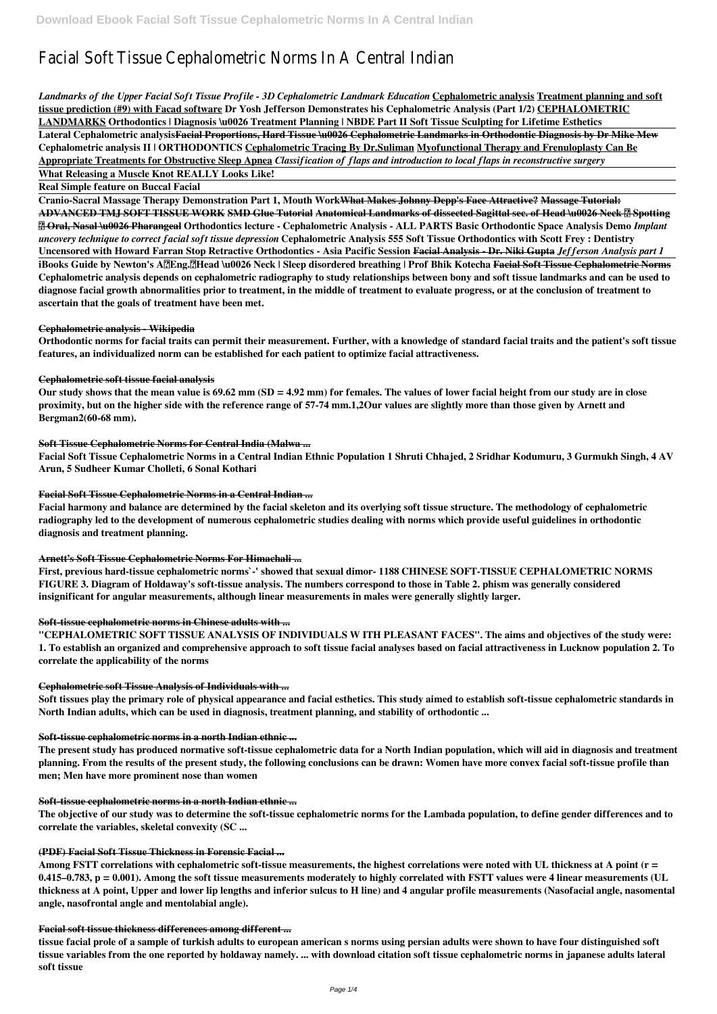# Facial Soft Tissue Cephalometric Norms In A Central Indian

*Landmarks of the Upper Facial Soft Tissue Profile - 3D Cephalometric Landmark Education* **Cephalometric analysis Treatment planning and soft tissue prediction (#9) with Facad software Dr Yosh Jefferson Demonstrates his Cephalometric Analysis (Part 1/2) CEPHALOMETRIC LANDMARKS Orthodontics | Diagnosis \u0026 Treatment Planning | NBDE Part II Soft Tissue Sculpting for Lifetime Esthetics Lateral Cephalometric analysisFacial Proportions, Hard Tissue \u0026 Cephalometric Landmarks in Orthodontic Diagnosis by Dr Mike Mew Cephalometric analysis II | ORTHODONTICS Cephalometric Tracing By Dr.Suliman Myofunctional Therapy and Frenuloplasty Can Be Appropriate Treatments for Obstructive Sleep Apnea** *Classification of flaps and introduction to local flaps in reconstructive surgery*

**What Releasing a Muscle Knot REALLY Looks Like!**

**Real Simple feature on Buccal Facial**

**Cranio-Sacral Massage Therapy Demonstration Part 1, Mouth WorkWhat Makes Johnny Depp's Face Attractive? Massage Tutorial: ADVANCED TMJ SOFT TISSUE WORK SMD Glue Tutorial Anatomical Landmarks of dissected Sagittal sec. of Head \u0026 Neck ❘ Spotting** *a* **Oral, Nasal \u0026 Pharangeal Orthodontics lecture - Cephalometric Analysis - ALL PARTS Basic Orthodontic Space Analysis Demo** *Implant uncovery technique to correct facial soft tissue depression* **Cephalometric Analysis 555 Soft Tissue Orthodontics with Scott Frey : Dentistry Uncensored with Howard Farran Stop Retractive Orthodontics - Asia Pacific Session Facial Analysis - Dr. Niki Gupta** *Jefferson Analysis part 1* **iBooks Guide by Newton's A(Eng.)Head \u0026 Neck | Sleep disordered breathing | Prof Bhik Kotecha Facial Soft Tissue Cephalometric Norms Cephalometric analysis depends on cephalometric radiography to study relationships between bony and soft tissue landmarks and can be used to diagnose facial growth abnormalities prior to treatment, in the middle of treatment to evaluate progress, or at the conclusion of treatment to ascertain that the goals of treatment have been met.**

# **Cephalometric analysis - Wikipedia**

**Orthodontic norms for facial traits can permit their measurement. Further, with a knowledge of standard facial traits and the patient's soft tissue features, an individualized norm can be established for each patient to optimize facial attractiveness.**

### **Cephalometric soft tissue facial analysis**

**Our study shows that the mean value is 69.62 mm (SD = 4.92 mm) for females. The values of lower facial height from our study are in close proximity, but on the higher side with the reference range of 57-74 mm.1,2Our values are slightly more than those given by Arnett and Bergman2(60-68 mm).**

### **Soft Tissue Cephalometric Norms for Central India (Malwa ...**

**Facial Soft Tissue Cephalometric Norms in a Central Indian Ethnic Population 1 Shruti Chhajed, 2 Sridhar Kodumuru, 3 Gurmukh Singh, 4 AV Arun, 5 Sudheer Kumar Cholleti, 6 Sonal Kothari**

### **Facial Soft Tissue Cephalometric Norms in a Central Indian ...**

**Facial harmony and balance are determined by the facial skeleton and its overlying soft tissue structure. The methodology of cephalometric radiography led to the development of numerous cephalometric studies dealing with norms which provide useful guidelines in orthodontic diagnosis and treatment planning.**

### **Arnett's Soft Tissue Cephalometric Norms For Himachali ...**

**First, previous hard-tissue cephalometric norms`-' showed that sexual dimor- 1188 CHINESE SOFT-TISSUE CEPHALOMETRIC NORMS FIGURE 3. Diagram of Holdaway's soft-tissue analysis. The numbers correspond to those in Table 2. phism was generally considered insignificant for angular measurements, although linear measurements in males were generally slightly larger.**

# **Soft-tissue cephalometric norms in Chinese adults with ...**

**"CEPHALOMETRIC SOFT TISSUE ANALYSIS OF INDIVIDUALS W ITH PLEASANT FACES". The aims and objectives of the study were: 1. To establish an organized and comprehensive approach to soft tissue facial analyses based on facial attractiveness in Lucknow population 2. To correlate the applicability of the norms**

### **Cephalometric soft Tissue Analysis of Individuals with ...**

**Soft tissues play the primary role of physical appearance and facial esthetics. This study aimed to establish soft-tissue cephalometric standards in North Indian adults, which can be used in diagnosis, treatment planning, and stability of orthodontic ...**

# **Soft-tissue cephalometric norms in a north Indian ethnic ...**

**The present study has produced normative soft-tissue cephalometric data for a North Indian population, which will aid in diagnosis and treatment planning. From the results of the present study, the following conclusions can be drawn: Women have more convex facial soft-tissue profile than**

# **men; Men have more prominent nose than women**

### **Soft-tissue cephalometric norms in a north Indian ethnic ...**

**The objective of our study was to determine the soft-tissue cephalometric norms for the Lambada population, to define gender differences and to correlate the variables, skeletal convexity (SC ...**

### **(PDF) Facial Soft Tissue Thickness in Forensic Facial ...**

**Among FSTT correlations with cephalometric soft-tissue measurements, the highest correlations were noted with UL thickness at A point (r = 0.415–0.783, p = 0.001). Among the soft tissue measurements moderately to highly correlated with FSTT values were 4 linear measurements (UL thickness at A point, Upper and lower lip lengths and inferior sulcus to H line) and 4 angular profile measurements (Nasofacial angle, nasomental angle, nasofrontal angle and mentolabial angle).**

### **Facial soft tissue thickness differences among different ...**

**tissue facial prole of a sample of turkish adults to european american s norms using persian adults were shown to have four distinguished soft tissue variables from the one reported by holdaway namely. ... with download citation soft tissue cephalometric norms in japanese adults lateral soft tissue**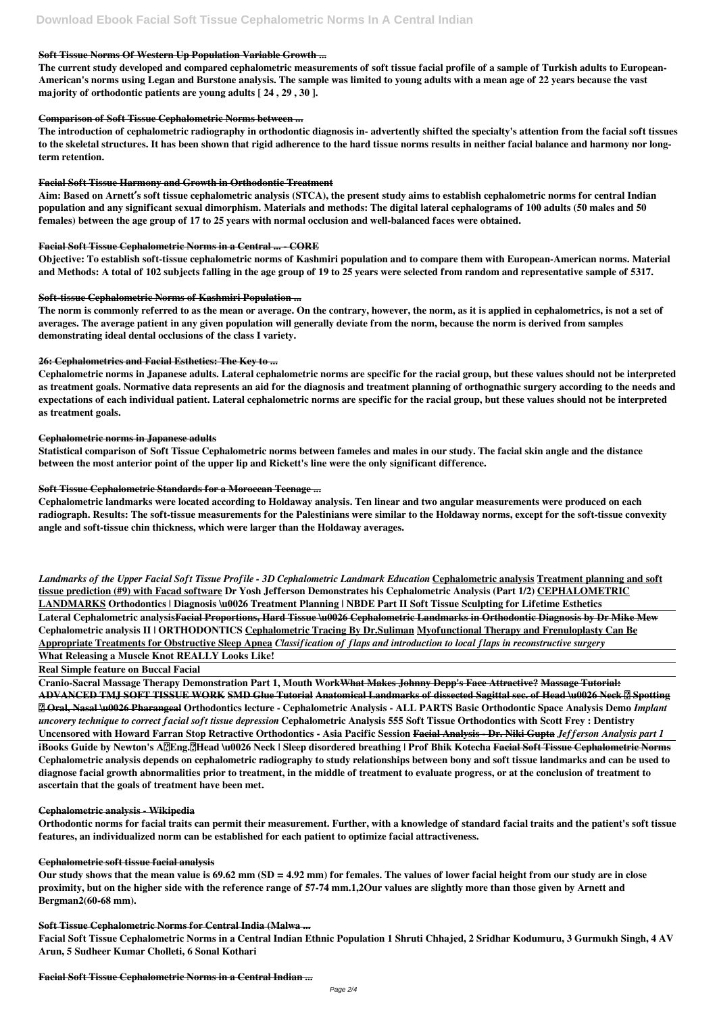# **Soft Tissue Norms Of Western Up Population Variable Growth ...**

**The current study developed and compared cephalometric measurements of soft tissue facial profile of a sample of Turkish adults to European-American's norms using Legan and Burstone analysis. The sample was limited to young adults with a mean age of 22 years because the vast majority of orthodontic patients are young adults [ 24 , 29 , 30 ].**

# **Comparison of Soft Tissue Cephalometric Norms between ...**

**The introduction of cephalometric radiography in orthodontic diagnosis in- advertently shifted the specialty's attention from the facial soft tissues to the skeletal structures. It has been shown that rigid adherence to the hard tissue norms results in neither facial balance and harmony nor longterm retention.**

# **Facial Soft Tissue Harmony and Growth in Orthodontic Treatment**

**Aim: Based on Arnett′s soft tissue cephalometric analysis (STCA), the present study aims to establish cephalometric norms for central Indian population and any significant sexual dimorphism. Materials and methods: The digital lateral cephalograms of 100 adults (50 males and 50 females) between the age group of 17 to 25 years with normal occlusion and well-balanced faces were obtained.**

# **Facial Soft Tissue Cephalometric Norms in a Central ... - CORE**

**Objective: To establish soft-tissue cephalometric norms of Kashmiri population and to compare them with European-American norms. Material and Methods: A total of 102 subjects falling in the age group of 19 to 25 years were selected from random and representative sample of 5317.**

# **Soft-tissue Cephalometric Norms of Kashmiri Population ...**

**The norm is commonly referred to as the mean or average. On the contrary, however, the norm, as it is applied in cephalometrics, is not a set of averages. The average patient in any given population will generally deviate from the norm, because the norm is derived from samples demonstrating ideal dental occlusions of the class I variety.**

# **26: Cephalometrics and Facial Esthetics: The Key to ...**

**Cephalometric norms in Japanese adults. Lateral cephalometric norms are specific for the racial group, but these values should not be interpreted as treatment goals. Normative data represents an aid for the diagnosis and treatment planning of orthognathic surgery according to the needs and expectations of each individual patient. Lateral cephalometric norms are specific for the racial group, but these values should not be interpreted as treatment goals.**

### **Cephalometric norms in Japanese adults**

**Statistical comparison of Soft Tissue Cephalometric norms between fameles and males in our study. The facial skin angle and the distance between the most anterior point of the upper lip and Rickett's line were the only significant difference.**

# **Soft Tissue Cephalometric Standards for a Moroccan Teenage ...**

**Cephalometric landmarks were located according to Holdaway analysis. Ten linear and two angular measurements were produced on each radiograph. Results: The soft-tissue measurements for the Palestinians were similar to the Holdaway norms, except for the soft-tissue convexity angle and soft-tissue chin thickness, which were larger than the Holdaway averages.**

*Landmarks of the Upper Facial Soft Tissue Profile - 3D Cephalometric Landmark Education* **Cephalometric analysis Treatment planning and soft tissue prediction (#9) with Facad software Dr Yosh Jefferson Demonstrates his Cephalometric Analysis (Part 1/2) CEPHALOMETRIC LANDMARKS Orthodontics | Diagnosis \u0026 Treatment Planning | NBDE Part II Soft Tissue Sculpting for Lifetime Esthetics Lateral Cephalometric analysisFacial Proportions, Hard Tissue \u0026 Cephalometric Landmarks in Orthodontic Diagnosis by Dr Mike Mew Cephalometric analysis II | ORTHODONTICS Cephalometric Tracing By Dr.Suliman Myofunctional Therapy and Frenuloplasty Can Be Appropriate Treatments for Obstructive Sleep Apnea** *Classification of flaps and introduction to local flaps in reconstructive surgery*

# **What Releasing a Muscle Knot REALLY Looks Like!**

# **Real Simple feature on Buccal Facial**

**Cranio-Sacral Massage Therapy Demonstration Part 1, Mouth WorkWhat Makes Johnny Depp's Face Attractive? Massage Tutorial: ADVANCED TMJ SOFT TISSUE WORK SMD Glue Tutorial Anatomical Landmarks of dissected Sagittal sec. of Head \u0026 Neck ❘ Spotting** *a* **Oral, Nasal \u0026 Pharangeal Orthodontics lecture - Cephalometric Analysis - ALL PARTS Basic Orthodontic Space Analysis Demo** *Implant uncovery technique to correct facial soft tissue depression* **Cephalometric Analysis 555 Soft Tissue Orthodontics with Scott Frey : Dentistry Uncensored with Howard Farran Stop Retractive Orthodontics - Asia Pacific Session Facial Analysis - Dr. Niki Gupta** *Jefferson Analysis part 1* **iBooks Guide by Newton's A(Eng.)Head \u0026 Neck | Sleep disordered breathing | Prof Bhik Kotecha Facial Soft Tissue Cephalometric Norms Cephalometric analysis depends on cephalometric radiography to study relationships between bony and soft tissue landmarks and can be used to**

**diagnose facial growth abnormalities prior to treatment, in the middle of treatment to evaluate progress, or at the conclusion of treatment to ascertain that the goals of treatment have been met.**

### **Cephalometric analysis - Wikipedia**

**Orthodontic norms for facial traits can permit their measurement. Further, with a knowledge of standard facial traits and the patient's soft tissue features, an individualized norm can be established for each patient to optimize facial attractiveness.**

### **Cephalometric soft tissue facial analysis**

**Our study shows that the mean value is 69.62 mm (SD = 4.92 mm) for females. The values of lower facial height from our study are in close proximity, but on the higher side with the reference range of 57-74 mm.1,2Our values are slightly more than those given by Arnett and Bergman2(60-68 mm).**

### **Soft Tissue Cephalometric Norms for Central India (Malwa ...**

**Facial Soft Tissue Cephalometric Norms in a Central Indian Ethnic Population 1 Shruti Chhajed, 2 Sridhar Kodumuru, 3 Gurmukh Singh, 4 AV Arun, 5 Sudheer Kumar Cholleti, 6 Sonal Kothari**

**Facial Soft Tissue Cephalometric Norms in a Central Indian ...**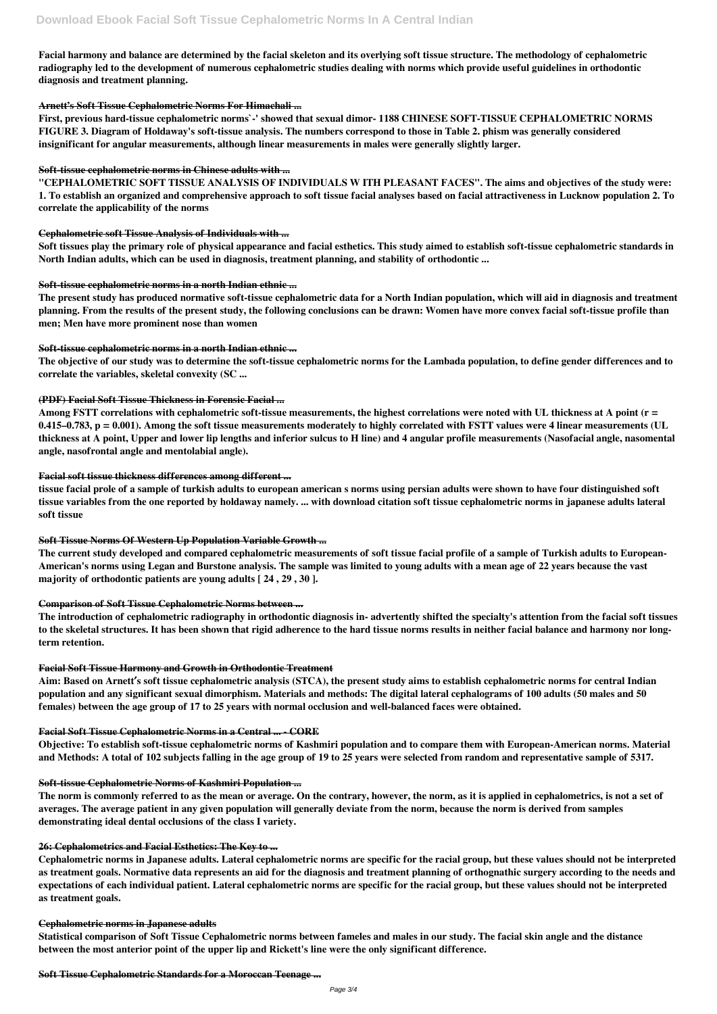**Facial harmony and balance are determined by the facial skeleton and its overlying soft tissue structure. The methodology of cephalometric radiography led to the development of numerous cephalometric studies dealing with norms which provide useful guidelines in orthodontic diagnosis and treatment planning.**

# **Arnett's Soft Tissue Cephalometric Norms For Himachali ...**

**First, previous hard-tissue cephalometric norms`-' showed that sexual dimor- 1188 CHINESE SOFT-TISSUE CEPHALOMETRIC NORMS FIGURE 3. Diagram of Holdaway's soft-tissue analysis. The numbers correspond to those in Table 2. phism was generally considered insignificant for angular measurements, although linear measurements in males were generally slightly larger.**

# **Soft-tissue cephalometric norms in Chinese adults with ...**

**"CEPHALOMETRIC SOFT TISSUE ANALYSIS OF INDIVIDUALS W ITH PLEASANT FACES". The aims and objectives of the study were: 1. To establish an organized and comprehensive approach to soft tissue facial analyses based on facial attractiveness in Lucknow population 2. To correlate the applicability of the norms**

# **Cephalometric soft Tissue Analysis of Individuals with ...**

**Soft tissues play the primary role of physical appearance and facial esthetics. This study aimed to establish soft-tissue cephalometric standards in North Indian adults, which can be used in diagnosis, treatment planning, and stability of orthodontic ...**

# **Soft-tissue cephalometric norms in a north Indian ethnic ...**

**The present study has produced normative soft-tissue cephalometric data for a North Indian population, which will aid in diagnosis and treatment planning. From the results of the present study, the following conclusions can be drawn: Women have more convex facial soft-tissue profile than men; Men have more prominent nose than women**

# **Soft-tissue cephalometric norms in a north Indian ethnic ...**

**The objective of our study was to determine the soft-tissue cephalometric norms for the Lambada population, to define gender differences and to correlate the variables, skeletal convexity (SC ...**

### **(PDF) Facial Soft Tissue Thickness in Forensic Facial ...**

**Among FSTT correlations with cephalometric soft-tissue measurements, the highest correlations were noted with UL thickness at A point (r = 0.415–0.783, p = 0.001). Among the soft tissue measurements moderately to highly correlated with FSTT values were 4 linear measurements (UL thickness at A point, Upper and lower lip lengths and inferior sulcus to H line) and 4 angular profile measurements (Nasofacial angle, nasomental angle, nasofrontal angle and mentolabial angle).**

### **Facial soft tissue thickness differences among different ...**

**tissue facial prole of a sample of turkish adults to european american s norms using persian adults were shown to have four distinguished soft tissue variables from the one reported by holdaway namely. ... with download citation soft tissue cephalometric norms in japanese adults lateral soft tissue**

# **Soft Tissue Norms Of Western Up Population Variable Growth ...**

**The current study developed and compared cephalometric measurements of soft tissue facial profile of a sample of Turkish adults to European-American's norms using Legan and Burstone analysis. The sample was limited to young adults with a mean age of 22 years because the vast majority of orthodontic patients are young adults [ 24 , 29 , 30 ].**

### **Comparison of Soft Tissue Cephalometric Norms between ...**

**The introduction of cephalometric radiography in orthodontic diagnosis in- advertently shifted the specialty's attention from the facial soft tissues to the skeletal structures. It has been shown that rigid adherence to the hard tissue norms results in neither facial balance and harmony nor longterm retention.**

### **Facial Soft Tissue Harmony and Growth in Orthodontic Treatment**

**Aim: Based on Arnett′s soft tissue cephalometric analysis (STCA), the present study aims to establish cephalometric norms for central Indian population and any significant sexual dimorphism. Materials and methods: The digital lateral cephalograms of 100 adults (50 males and 50 females) between the age group of 17 to 25 years with normal occlusion and well-balanced faces were obtained.**

# **Facial Soft Tissue Cephalometric Norms in a Central ... - CORE**

**Objective: To establish soft-tissue cephalometric norms of Kashmiri population and to compare them with European-American norms. Material and Methods: A total of 102 subjects falling in the age group of 19 to 25 years were selected from random and representative sample of 5317.**

### **Soft-tissue Cephalometric Norms of Kashmiri Population ...**

**The norm is commonly referred to as the mean or average. On the contrary, however, the norm, as it is applied in cephalometrics, is not a set of averages. The average patient in any given population will generally deviate from the norm, because the norm is derived from samples demonstrating ideal dental occlusions of the class I variety.**

### **26: Cephalometrics and Facial Esthetics: The Key to ...**

**Cephalometric norms in Japanese adults. Lateral cephalometric norms are specific for the racial group, but these values should not be interpreted as treatment goals. Normative data represents an aid for the diagnosis and treatment planning of orthognathic surgery according to the needs and expectations of each individual patient. Lateral cephalometric norms are specific for the racial group, but these values should not be interpreted as treatment goals.**

#### **Cephalometric norms in Japanese adults**

**Statistical comparison of Soft Tissue Cephalometric norms between fameles and males in our study. The facial skin angle and the distance between the most anterior point of the upper lip and Rickett's line were the only significant difference.**

**Soft Tissue Cephalometric Standards for a Moroccan Teenage ...**